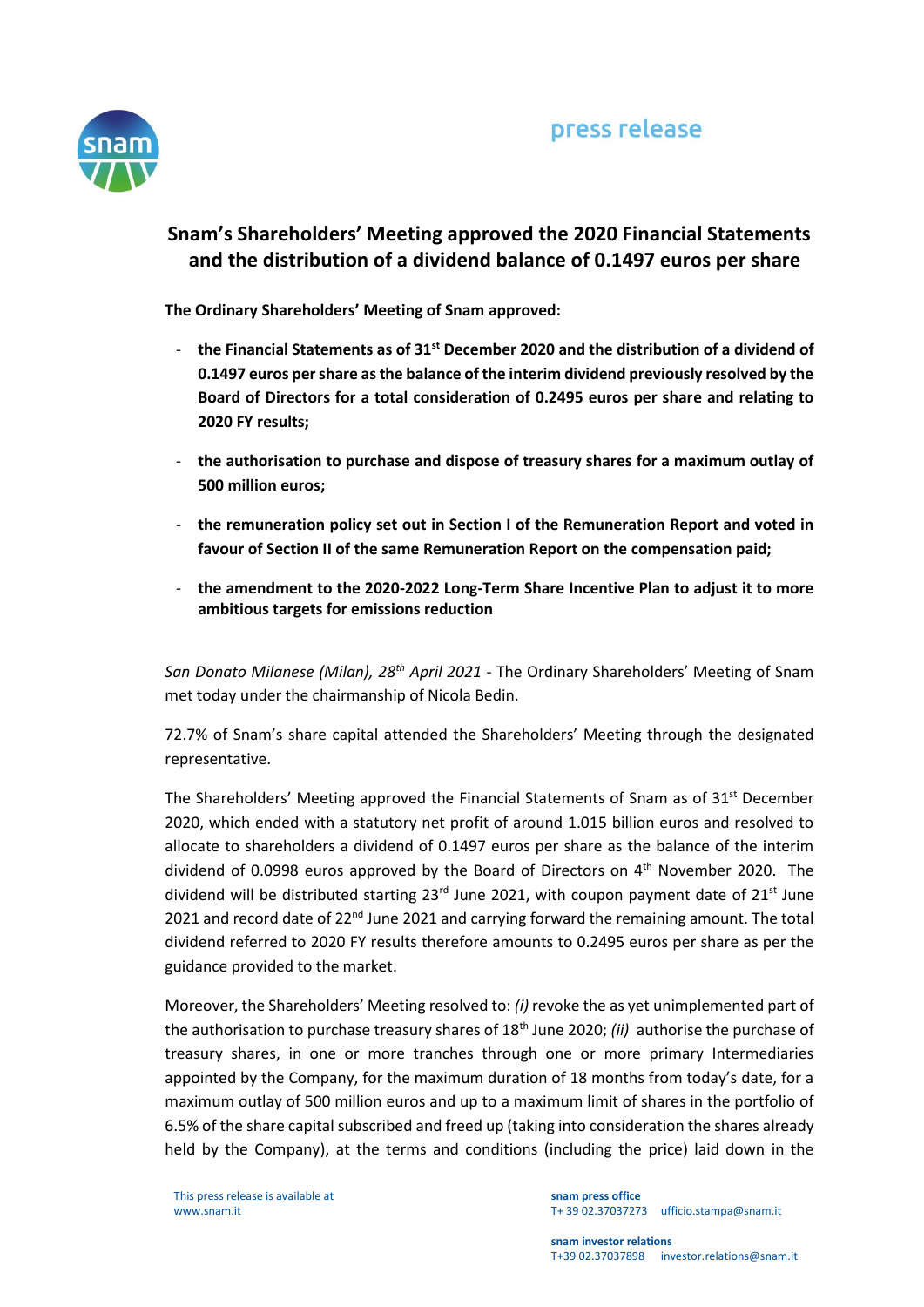

## **Snam's Shareholders' Meeting approved the 2020 Financial Statements and the distribution of a dividend balance of 0.1497 euros per share**

**The Ordinary Shareholders' Meeting of Snam approved:**

- **the Financial Statements as of 31st December 2020 and the distribution of a dividend of 0.1497 euros per share as the balance of the interim dividend previously resolved by the Board of Directors for a total consideration of 0.2495 euros per share and relating to 2020 FY results;**
- **the authorisation to purchase and dispose of treasury shares for a maximum outlay of 500 million euros;**
- **the remuneration policy set out in Section I of the Remuneration Report and voted in favour of Section II of the same Remuneration Report on the compensation paid;**
- **the amendment to the 2020-2022 Long-Term Share Incentive Plan to adjust it to more ambitious targets for emissions reduction**

*San Donato Milanese (Milan), 28th April 2021* - The Ordinary Shareholders' Meeting of Snam met today under the chairmanship of Nicola Bedin.

72.7% of Snam's share capital attended the Shareholders' Meeting through the designated representative.

The Shareholders' Meeting approved the Financial Statements of Snam as of  $31<sup>st</sup>$  December 2020, which ended with a statutory net profit of around 1.015 billion euros and resolved to allocate to shareholders a dividend of 0.1497 euros per share as the balance of the interim dividend of 0.0998 euros approved by the Board of Directors on 4th November 2020. The dividend will be distributed starting  $23<sup>rd</sup>$  June 2021, with coupon payment date of  $21<sup>st</sup>$  June 2021 and record date of  $22<sup>nd</sup>$  June 2021 and carrying forward the remaining amount. The total dividend referred to 2020 FY results therefore amounts to 0.2495 euros per share as per the guidance provided to the market.

Moreover, the Shareholders' Meeting resolved to: *(i)* revoke the as yet unimplemented part of the authorisation to purchase treasury shares of 18th June 2020; *(ii)* authorise the purchase of treasury shares, in one or more tranches through one or more primary Intermediaries appointed by the Company, for the maximum duration of 18 months from today's date, for a maximum outlay of 500 million euros and up to a maximum limit of shares in the portfolio of 6.5% of the share capital subscribed and freed up (taking into consideration the shares already held by the Company), at the terms and conditions (including the price) laid down in the

This press release is available at www.snam.it

**snam press office** T+ 39 02.37037273 ufficio.stampa@snam.it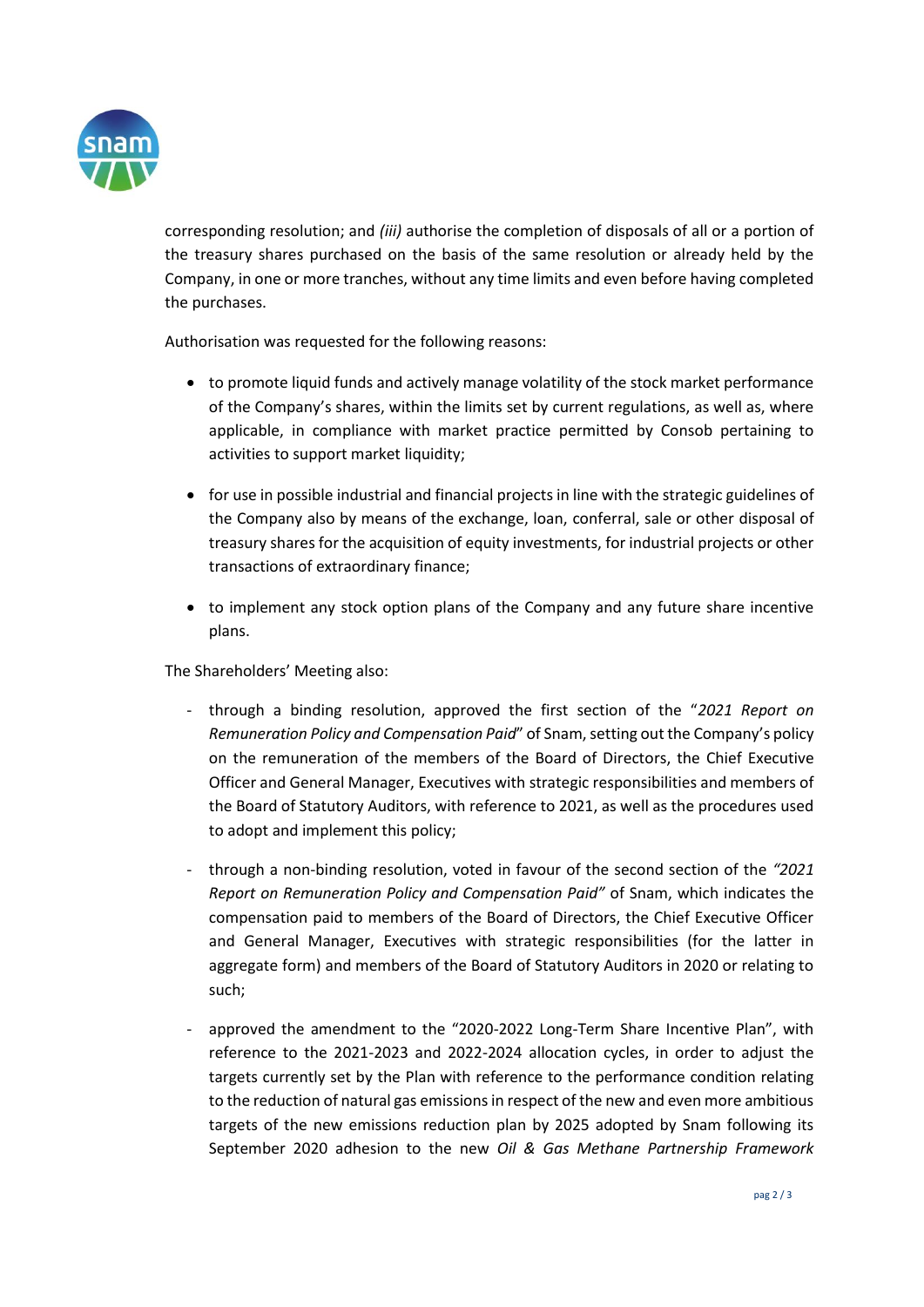

corresponding resolution; and *(iii)* authorise the completion of disposals of all or a portion of the treasury shares purchased on the basis of the same resolution or already held by the Company, in one or more tranches, without any time limits and even before having completed the purchases.

Authorisation was requested for the following reasons:

- to promote liquid funds and actively manage volatility of the stock market performance of the Company's shares, within the limits set by current regulations, as well as, where applicable, in compliance with market practice permitted by Consob pertaining to activities to support market liquidity;
- for use in possible industrial and financial projects in line with the strategic guidelines of the Company also by means of the exchange, loan, conferral, sale or other disposal of treasury shares for the acquisition of equity investments, for industrial projects or other transactions of extraordinary finance;
- to implement any stock option plans of the Company and any future share incentive plans.

The Shareholders' Meeting also:

- through a binding resolution, approved the first section of the "*2021 Report on Remuneration Policy and Compensation Paid*" of Snam, setting out the Company's policy on the remuneration of the members of the Board of Directors, the Chief Executive Officer and General Manager, Executives with strategic responsibilities and members of the Board of Statutory Auditors, with reference to 2021, as well as the procedures used to adopt and implement this policy;
- through a non-binding resolution, voted in favour of the second section of the *"2021 Report on Remuneration Policy and Compensation Paid"* of Snam, which indicates the compensation paid to members of the Board of Directors, the Chief Executive Officer and General Manager, Executives with strategic responsibilities (for the latter in aggregate form) and members of the Board of Statutory Auditors in 2020 or relating to such;
- approved the amendment to the "2020-2022 Long-Term Share Incentive Plan", with reference to the 2021-2023 and 2022-2024 allocation cycles, in order to adjust the targets currently set by the Plan with reference to the performance condition relating to the reduction of natural gas emissions in respect of the new and even more ambitious targets of the new emissions reduction plan by 2025 adopted by Snam following its September 2020 adhesion to the new *Oil & Gas Methane Partnership Framework*